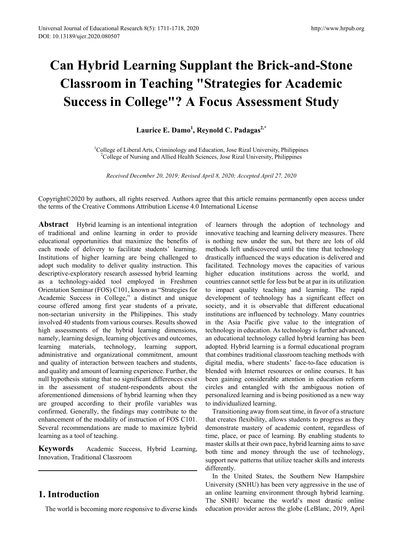# **Can Hybrid Learning Supplant the Brick-and-Stone Classroom in Teaching "Strategies for Academic Success in College"? A Focus Assessment Study**

# **Laurice E. Damo<sup>1</sup> , Reynold C. Padagas2,\***

<sup>1</sup>College of Liberal Arts, Criminology and Education, Jose Rizal University, Philippines <sup>2</sup>College of Nursing and Allied Health Sciences, Jose Rizal University, Philippines

*Received December 20, 2019; Revised April 8, 2020; Accepted April 27, 2020*

Copyright©2020 by authors, all rights reserved. Authors agree that this article remains permanently open access under the terms of the Creative Commons Attribution License 4.0 International License

**Abstract** Hybrid learning is an intentional integration of traditional and online learning in order to provide educational opportunities that maximize the benefits of each mode of delivery to facilitate students' learning. Institutions of higher learning are being challenged to adopt such modality to deliver quality instruction. This descriptive-exploratory research assessed hybrid learning as a technology-aided tool employed in Freshmen Orientation Seminar (FOS) C101, known as "Strategies for Academic Success in College," a distinct and unique course offered among first year students of a private, non-sectarian university in the Philippines. This study involved 40 students from various courses. Results showed high assessments of the hybrid learning dimensions, namely, learning design, learning objectives and outcomes, learning materials, technology, learning support, administrative and organizational commitment, amount and quality of interaction between teachers and students, and quality and amount of learning experience. Further, the null hypothesis stating that no significant differences exist in the assessment of student-respondents about the aforementioned dimensions of hybrid learning when they are grouped according to their profile variables was confirmed. Generally, the findings may contribute to the enhancement of the modality of instruction of FOS C101. Several recommendations are made to maximize hybrid learning as a tool of teaching.

**Keywords** Academic Success, Hybrid Learning, Innovation, Traditional Classroom

# **1. Introduction**

The world is becoming more responsive to diverse kinds

of learners through the adoption of technology and innovative teaching and learning delivery measures. There is nothing new under the sun, but there are lots of old methods left undiscovered until the time that technology drastically influenced the ways education is delivered and facilitated. Technology moves the capacities of various higher education institutions across the world, and countries cannot settle for less but be at par in its utilization to impact quality teaching and learning. The rapid development of technology has a significant effect on society, and it is observable that different educational institutions are influenced by technology. Many countries in the Asia Pacific give value to the integration of technology in education. As technology is further advanced, an educational technology called hybrid learning has been adopted. Hybrid learning is a formal educational program that combines traditional classroom teaching methods with digital media, where students' face-to-face education is blended with Internet resources or online courses. It has been gaining considerable attention in education reform circles and entangled with the ambiguous notion of personalized learning and is being positioned as a new way to individualized learning.

Transitioning away from seat time, in favor of a structure that creates flexibility, allows students to progress as they demonstrate mastery of academic content, regardless of time, place, or pace of learning. By enabling students to master skills at their own pace, hybrid learning aims to save both time and money through the use of technology, support new patterns that utilize teacher skills and interests differently.

In the United States, the Southern New Hampshire University (SNHU) has been very aggressive in the use of an online learning environment through hybrid learning. The SNHU became the world's most drastic online education provider across the globe (LeBlanc, 2019, April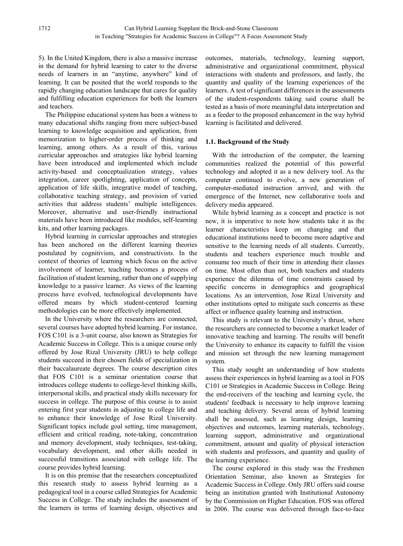5). In the United Kingdom, there is also a massive increase in the demand for hybrid learning to cater to the diverse needs of learners in an "anytime, anywhere" kind of learning. It can be posited that the world responds to the rapidly changing education landscape that cares for quality and fulfilling education experiences for both the learners and teachers.

The Philippine educational system has been a witness to many educational shifts ranging from mere subject-based learning to knowledge acquisition and application, from memorization to higher-order process of thinking and learning, among others. As a result of this, various curricular approaches and strategies like hybrid learning have been introduced and implemented which include activity-based and conceptualization strategy, values integration, career spotlighting, application of concepts, application of life skills, integrative model of teaching, collaborative teaching strategy, and provision of varied activities that address students' multiple intelligences. Moreover, alternative and user-friendly instructional materials have been introduced like modules, self-learning kits, and other learning packages.

Hybrid learning in curricular approaches and strategies has been anchored on the different learning theories postulated by cognitivism, and constructivists. In the context of theories of learning which focus on the active involvement of learner, teaching becomes a process of facilitation of student learning, rather than one of supplying knowledge to a passive learner. As views of the learning process have evolved, technological developments have offered means by which student-centered learning methodologies can be more effectively implemented.

In the University where the researchers are connected, several courses have adopted hybrid learning. For instance, FOS C101 is a 3-unit course, also known as Strategies for Academic Success in College. This is a unique course only offered by Jose Rizal University (JRU) to help college students succeed in their chosen fields of specialization in their baccalaureate degrees. The course description cites that FOS C101 is a seminar orientation course that introduces college students to college-level thinking skills, interpersonal skills, and practical study skills necessary for success in college. The purpose of this course is to assist entering first year students in adjusting to college life and to enhance their knowledge of Jose Rizal University. Significant topics include goal setting, time management, efficient and critical reading, note-taking, concentration and memory development, study techniques, test-taking, vocabulary development, and other skills needed in successful transitions associated with college life. The course provides hybrid learning.

It is on this premise that the researchers conceptualized this research study to assess hybrid learning as a pedagogical tool in a course called Strategies for Academic Success in College. The study includes the assessment of the learners in terms of learning design, objectives and

outcomes, materials, technology, learning support, administrative and organizational commitment, physical interactions with students and professors, and lastly, the quantity and quality of the learning experiences of the learners. A test of significant differences in the assessments of the student-respondents taking said course shall be tested as a basis of more meaningful data interpretation and as a feeder to the proposed enhancement in the way hybrid learning is facilitated and delivered.

## **1.1. Background of the Study**

With the introduction of the computer, the learning communities realized the potential of this powerful technology and adopted it as a new delivery tool. As the computer continued to evolve, a new generation of computer-mediated instruction arrived, and with the emergence of the Internet, new collaborative tools and delivery media appeared.

While hybrid learning as a concept and practice is not new, it is imperative to note how students take it as the learner characteristics keep on changing and that educational institutions need to become more adaptive and sensitive to the learning needs of all students. Currently, students and teachers experience much trouble and consume too much of their time in attending their classes on time. Most often than not, both teachers and students experience the dilemma of time constraints caused by specific concerns in demographics and geographical locations. As an intervention, Jose Rizal University and other institutions opted to mitigate such concerns as these affect or influence quality learning and instruction.

This study is relevant to the University's thrust, where the researchers are connected to become a market leader of innovative teaching and learning. The results will benefit the University to enhance its capacity to fulfill the vision and mission set through the new learning management system.

This study sought an understanding of how students assess their experiences in hybrid learning as a tool in FOS C101 or Strategies in Academic Success in College. Being the end-receivers of the teaching and learning cycle, the students' feedback is necessary to help improve learning and teaching delivery. Several areas of hybrid learning shall be assessed, such as learning design, learning objectives and outcomes, learning materials, technology, learning support, administrative and organizational commitment, amount and quality of physical interaction with students and professors, and quantity and quality of the learning experience.

The course explored in this study was the Freshmen Orientation Seminar, also known as Strategies for Academic Success in College. Only JRU offers said course being an institution granted with Institutional Autonomy by the Commission on Higher Education. FOS was offered in 2006. The course was delivered through face-to-face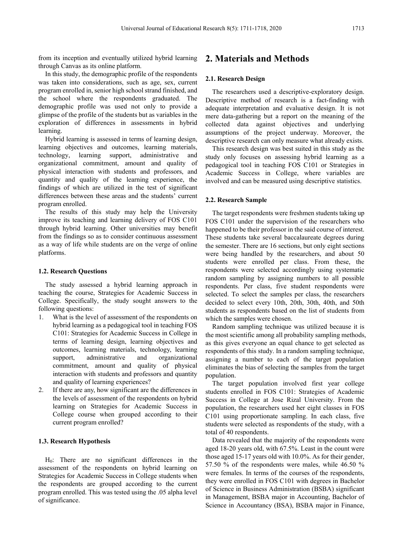from its inception and eventually utilized hybrid learning through Canvas as its online platform.

In this study, the demographic profile of the respondents was taken into considerations, such as age, sex, current program enrolled in, senior high school strand finished, and the school where the respondents graduated. The demographic profile was used not only to provide a glimpse of the profile of the students but as variables in the exploration of differences in assessments in hybrid learning.

Hybrid learning is assessed in terms of learning design, learning objectives and outcomes, learning materials, technology, learning support, administrative and technology, learning support, organizational commitment, amount and quality of physical interaction with students and professors, and quantity and quality of the learning experience, the findings of which are utilized in the test of significant differences between these areas and the students' current program enrolled.

The results of this study may help the University improve its teaching and learning delivery of FOS C101 through hybrid learning. Other universities may benefit from the findings so as to consider continuous assessment as a way of life while students are on the verge of online platforms.

#### **1.2. Research Questions**

The study assessed a hybrid learning approach in teaching the course, Strategies for Academic Success in College. Specifically, the study sought answers to the following questions:

- 1. What is the level of assessment of the respondents on hybrid learning as a pedagogical tool in teaching FOS C101: Strategies for Academic Success in College in terms of learning design, learning objectives and outcomes, learning materials, technology, learning support, administrative and organizational commitment, amount and quality of physical interaction with students and professors and quantity and quality of learning experiences?
- 2. If there are any, how significant are the differences in the levels of assessment of the respondents on hybrid learning on Strategies for Academic Success in College course when grouped according to their current program enrolled?

### **1.3. Research Hypothesis**

H0: There are no significant differences in the assessment of the respondents on hybrid learning on Strategies for Academic Success in College students when the respondents are grouped according to the current program enrolled. This was tested using the .05 alpha level of significance.

# **2. Materials and Methods**

### **2.1. Research Design**

The researchers used a descriptive-exploratory design. Descriptive method of research is a fact-finding with adequate interpretation and evaluative design. It is not mere data-gathering but a report on the meaning of the collected data against objectives and underlying assumptions of the project underway. Moreover, the descriptive research can only measure what already exists.

This research design was best suited in this study as the study only focuses on assessing hybrid learning as a pedagogical tool in teaching FOS C101 or Strategies in Academic Success in College, where variables are involved and can be measured using descriptive statistics.

#### **2.2. Research Sample**

The target respondents were freshmen students taking up FOS C101 under the supervision of the researchers who happened to be their professor in the said course of interest. These students take several baccalaureate degrees during the semester. There are 16 sections, but only eight sections were being handled by the researchers, and about 50 students were enrolled per class. From these, the respondents were selected accordingly using systematic random sampling by assigning numbers to all possible respondents. Per class, five student respondents were selected. To select the samples per class, the researchers decided to select every 10th, 20th, 30th, 40th, and 50th students as respondents based on the list of students from which the samples were chosen.

Random sampling technique was utilized because it is the most scientific among all probability sampling methods, as this gives everyone an equal chance to get selected as respondents of this study. In a random sampling technique, assigning a number to each of the target population eliminates the bias of selecting the samples from the target population.

The target population involved first year college students enrolled in FOS C101: Strategies of Academic Success in College at Jose Rizal University. From the population, the researchers used her eight classes in FOS C101 using proportionate sampling. In each class, five students were selected as respondents of the study, with a total of 40 respondents.

Data revealed that the majority of the respondents were aged 18-20 years old, with 67.5%. Least in the count were those aged 15-17 years old with 10.0%. As for their gender, 57.50 % of the respondents were males, while 46.50 % were females. In terms of the courses of the respondents, they were enrolled in FOS C101 with degrees in Bachelor of Science in Business Administration (BSBA) significant in Management, BSBA major in Accounting, Bachelor of Science in Accountancy (BSA), BSBA major in Finance,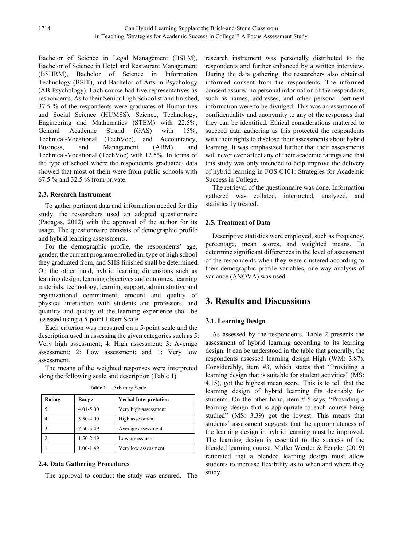Bachelor of Science in Legal Management (BSLM), Bachelor of Science in Hotel and Restaurant Management (BSHRM), Bachelor of Science in Information Technology (BSIT), and Bachelor of Arts in Psychology (AB Psychology). Each course had five representatives as respondents. As to their Senior High School strand finished, 37.5 % of the respondents were graduates of Humanities and Social Science (HUMSS), Science, Technology, Engineering and Mathematics (STEM) with 22.5%, General Academic Strand (GAS) with 15%, Technical-Vocational (TechVoc), and Accountancy, Business, and Management (ABM) and Technical-Vocational (TechVoc) with 12.5%. In terms of the type of school where the respondents graduated, data showed that most of them were from public schools with 67.5 % and 32.5 % from private.

## **2.3. Research Instrument**

To gather pertinent data and information needed for this study, the researchers used an adopted questionnaire (Padagas, 2012) with the approval of the author for its usage. The questionnaire consists of demographic profile and hybrid learning assessments.

For the demographic profile, the respondents' age, gender, the current program enrolled in, type of high school they graduated from, and SHS finished shall be determined. On the other hand, hybrid learning dimensions such as learning design, learning objectives and outcomes, learning materials, technology, learning support, administrative and organizational commitment, amount and quality of physical interaction with students and professors, and quantity and quality of the learning experience shall be assessed using a 5-point Likert Scale.

Each criterion was measured on a 5-point scale and the description used in assessing the given categories such as 5: Very high assessment; 4: High assessment; 3: Average assessment; 2: Low assessment; and 1: Very low assessment.

The means of the weighted responses were interpreted along the following scale and description (Table 1).

**Table 1.** Arbitrary Scale

| Rating | Range         | <b>Verbal Interpretation</b> |  |  |
|--------|---------------|------------------------------|--|--|
|        | $4.01 - 5.00$ | Very high assessment         |  |  |
|        | 3.50-4.00     | High assessment              |  |  |
|        | 2.50-3.49     | Average assessment           |  |  |
|        | 1.50-2.49     | Low assessment               |  |  |
|        | $1.00 - 1.49$ | Very low assessment          |  |  |

## **2.4. Data Gathering Procedures**

The approval to conduct the study was ensured. The

research instrument was personally distributed to the respondents and further enhanced by a written interview. During the data gathering, the researchers also obtained informed consent from the respondents. The informed consent assured no personal information of the respondents, such as names, addresses, and other personal pertinent information were to be divulged. This was an assurance of confidentiality and anonymity to any of the responses that they can be identified. Ethical considerations mattered to succeed data gathering as this protected the respondents with their rights to disclose their assessments about hybrid learning. It was emphasized further that their assessments will never ever affect any of their academic ratings and that this study was only intended to help improve the delivery of hybrid learning in FOS C101: Strategies for Academic Success in College.

The retrieval of the questionnaire was done. Information gathered was collated, interpreted, analyzed, and statistically treated.

## **2.5. Treatment of Data**

Descriptive statistics were employed, such as frequency, percentage, mean scores, and weighted means. To determine significant differences in the level of assessment of the respondents when they were clustered according to their demographic profile variables, one-way analysis of variance (ANOVA) was used.

# **3. Results and Discussions**

# **3.1. Learning Design**

As assessed by the respondents, Table 2 presents the assessment of hybrid learning according to its learning design. It can be understood in the table that generally, the respondents assessed learning design High (WM: 3.87). Considerably, item #3, which states that "Providing a learning design that is suitable for student activities" (MS: 4.15), got the highest mean score. This is to tell that the learning design of hybrid learning fits desirably for students. On the other hand, item  $# 5$  says, "Providing a learning design that is appropriate to each course being studied" (MS: 3.39) got the lowest. This means that students' assessment suggests that the appropriateness of the learning design in hybrid learning must be improved. The learning design is essential to the success of the blended learning course. Müller Werder & Fengler (2019) reiterated that a blended learning design must allow students to increase flexibility as to when and where they study.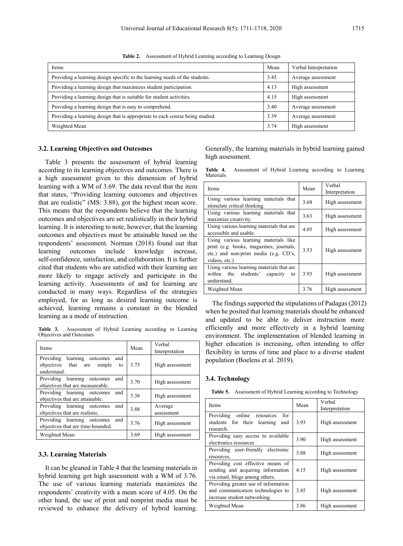| Items                                                                         | Mean | Verbal Interpretation |
|-------------------------------------------------------------------------------|------|-----------------------|
| Providing a learning design specific to the learning needs of the students.   | 3.45 | Average assessment    |
| Providing a learning design that maximizes student participation.             | 4.13 | High assessment       |
| Providing a learning design that is suitable for student activities.          | 4.15 | High assessment       |
| Providing a learning design that is easy to comprehend.                       | 3.40 | Average assessment    |
| Providing a learning design that is appropriate to each course being studied. | 3.39 | Average assessment    |
| Weighted Mean                                                                 | 3.74 | High assessment       |

**Table 2.** Assessment of Hybrid Learning according to Learning Design

#### **3.2. Learning Objectives and Outcomes**

Table 3 presents the assessment of hybrid learning according to its learning objectives and outcomes. There is a high assessment given to this dimension of hybrid learning with a WM of 3.69. The data reveal that the item that states, "Providing learning outcomes and objectives that are realistic" (MS: 3.88), got the highest mean score. This means that the respondents believe that the learning outcomes and objectives are set realistically in their hybrid learning. It is interesting to note, however, that the learning outcomes and objectives must be attainable based on the respondents' assessment. Norman (2018) found out that learning outcomes include knowledge increase, self-confidence, satisfaction, and collaboration. It is further cited that students who are satisfied with their learning are more likely to engage actively and participate in the learning activity. Assessments of and for learning are conducted in many ways. Regardless of the strategies employed, for as long as desired learning outcome is achieved, learning remains a constant in the blended learning as a mode of instruction.

**Table 3.** Assessment of Hybrid Learning according to Learning Objectives and Outcomes

| <b>Items</b>                                                                                | Mean | Verbal<br>Interpretation |
|---------------------------------------------------------------------------------------------|------|--------------------------|
| learning outcomes<br>Providing<br>and<br>objectives that are<br>simple<br>to<br>understand. | 3.75 | High assessment          |
| Providing learning outcomes<br>and<br>objectives that are measureable.                      | 3.70 | High assessment          |
| Providing learning outcomes<br>and<br>objectives that are attainable.                       | 3.38 | High assessment          |
| Providing learning outcomes<br>and<br>objectives that are realistic.                        | 3.88 | Average<br>assessment    |
| Providing learning outcomes<br>and<br>objectives that are time-bounded.                     | 3.76 | High assessment          |
| Weighted Mean                                                                               | 3.69 | High assessment          |

#### **3.3. Learning Materials**

It can be gleaned in Table 4 that the learning materials in hybrid learning got high assessment with a WM of 3.76. The use of various learning materials maximizes the respondents' creativity with a mean score of 4.05. On the other hand, the use of print and nonprint media must be reviewed to enhance the delivery of hybrid learning.

Generally, the learning materials in hybrid learning gained high assessment.

|           | Table 4. Assessment of Hybrid Learning according to Learning |  |  |  |
|-----------|--------------------------------------------------------------|--|--|--|
| Materials |                                                              |  |  |  |

| Items                                                                                                                                      | Mean | Verbal<br>Interpretation |
|--------------------------------------------------------------------------------------------------------------------------------------------|------|--------------------------|
| Using various learning materials that<br>stimulate critical thinking.                                                                      | 3.68 | High assessment          |
| Using various learning materials that<br>maximize creativity.                                                                              | 3.63 | High assessment          |
| Using various learning materials that are<br>accessible and usable.                                                                        | 4.05 | High assessment          |
| Using various learning materials like<br>print (e.g. books, magazines, journals,<br>etc.) and non-print media (e.g. CD's,<br>videos, etc.) | 3.53 | High assessment          |
| Using various learning materials that are<br>within the students' capacity<br>to<br>understand.                                            | 3.93 | High assessment          |
| Weighted Mean                                                                                                                              | 3.76 | High assessment          |

The findings supported the stipulations of Padagas (2012) when he posited that learning materials should be enhanced and updated to be able to deliver instruction more efficiently and more effectively in a hybrid learning environment. The implementation of blended learning in higher education is increasing, often intending to offer flexibility in terms of time and place to a diverse student population (Boelens et al. 2019).

#### **3.4. Technology**

|  | Table 5. Assessment of Hybrid Learning according to Technology |  |  |  |  |  |
|--|----------------------------------------------------------------|--|--|--|--|--|
|--|----------------------------------------------------------------|--|--|--|--|--|

| Items                                                                                                     | Mean | Verbal<br>Interpretation |
|-----------------------------------------------------------------------------------------------------------|------|--------------------------|
| Providing online resources<br>for<br>students for their learning<br>and<br>research.                      | 3.93 | High assessment          |
| Providing easy access to available<br>electronics resources                                               | 3.90 | High assessment          |
| Providing user-friendly electronic<br>resources.                                                          | 3.88 | High assessment          |
| Providing cost effective means of<br>sending and acquiring information<br>via email, blogs among others.  | 4.15 | High assessment          |
| Providing greater use of information<br>and communication technologies to<br>increase student networking. | 3.45 | High assessment          |
| Weighted Mean                                                                                             | 3.86 | High assessment          |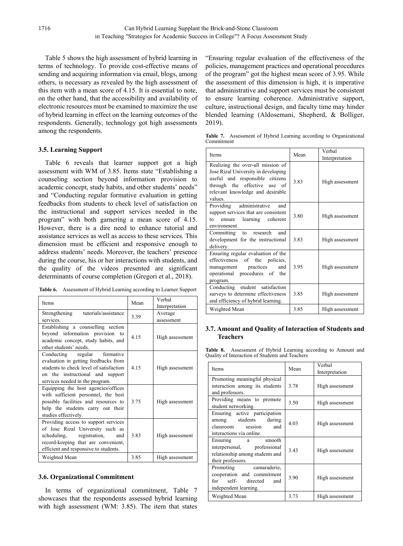Table 5 shows the high assessment of hybrid learning in terms of technology. To provide cost-effective means of sending and acquiring information via email, blogs, among others, is necessary as revealed by the high assessment of this item with a mean score of 4.15. It is essential to note, on the other hand, that the accessibility and availability of electronic resources must be examined to maximize the use of hybrid learning in effect on the learning outcomes of the respondents. Generally, technology got high assessments among the respondents.

## **3.5. Learning Support**

Table 6 reveals that learner support got a high assessment with WM of 3.85. Items state "Establishing a counseling section beyond information provision to academic concept, study habits, and other students' needs" and "Conducting regular formative evaluation in getting feedbacks from students to check level of satisfaction on the instructional and support services needed in the program" with both garnering a mean score of 4.15. However, there is a dire need to enhance tutorial and assistance services as well as access to these services. This dimension must be efficient and responsive enough to address students' needs. Moreover, the teachers' presence during the course, his or her interactions with students, and the quality of the videos presented are significant determinants of course completion (Gregori et al., 2018).

|  | Table 6. Assessment of Hybrid Learning according to Learner Support |  |  |  |  |  |
|--|---------------------------------------------------------------------|--|--|--|--|--|
|--|---------------------------------------------------------------------|--|--|--|--|--|

| Items                                                                                                                                                                                     | Mean | Verbal<br>Interpretation |
|-------------------------------------------------------------------------------------------------------------------------------------------------------------------------------------------|------|--------------------------|
| Strengthening tutorials/assistance<br>services.                                                                                                                                           | 3.39 | Average<br>assessment    |
| Establishing a counselling section<br>beyond information provision to<br>academic concept, study habits, and<br>other students' needs.                                                    | 4.15 | High assessment          |
| Conducting regular formative<br>evaluation in getting feedbacks from<br>students to check level of satisfaction<br>on the instructional and support<br>services needed in the program.    | 4.15 | High assessment          |
| Equipping the host agencies/offices<br>with sufficient personnel, the best<br>possible facilities and resources to<br>help the students carry out their<br>studies effectively.           | 3.75 | High assessment          |
| Providing access to support services<br>of Jose Rizal University such as<br>scheduling, registration, and<br>record-keeping that are convenient,<br>efficient and responsive to students. | 3.83 | High assessment          |
| Weighted Mean                                                                                                                                                                             | 3.85 | High assessment          |

## **3.6. Organizational Commitment**

In terms of organizational commitment, Table 7 showcases that the respondents assessed hybrid learning with high assessment (WM: 3.85). The item that states

"Ensuring regular evaluation of the effectiveness of the policies, management practices and operational procedures of the program" got the highest mean score of 3.95. While the assessment of this dimension is high, it is imperative that administrative and support services must be consistent to ensure learning coherence. Administrative support, culture, instructional design, and faculty time may hinder blended learning (Aldosemani, Shepherd, & Bolliger, 2019).

**Table 7.** Assessment of Hybrid Learning according to Organizational Commitment

| Items                                                                                                                                                                                      | Mean | Verbal<br>Interpretation |
|--------------------------------------------------------------------------------------------------------------------------------------------------------------------------------------------|------|--------------------------|
| Realizing the over-all mission of<br>Jose Rizal University in developing<br>useful and responsible citizens<br>through the effective use of<br>relevant knowledge and desirable<br>values. | 3.83 | High assessment          |
| Providing administrative<br>and<br>support services that are consistent<br>learning coherent<br>to<br>ensure<br>environment.                                                               | 3.80 | High assessment          |
| Committing to research and<br>development for the instructional<br>delivery.                                                                                                               | 3.83 | High assessment          |
| Ensuring regular evaluation of the<br>effectiveness of the policies,<br>management practices<br>and<br>operational procedures of the<br>program.                                           | 3.95 | High assessment          |
| Conducting student satisfaction<br>surveys to determine effectiveness<br>and efficiency of hybrid learning.                                                                                | 3.85 | High assessment          |
| Weighted Mean                                                                                                                                                                              | 3.85 | High assessment          |

## **3.7. Amount and Quality of Interaction of Students and Teachers**

**Table 8.** Assessment of Hybrid Learning according to Amount and Quality of Interaction of Students and Teachers

| Items                                                                                                          | Mean | Verbal          |  |
|----------------------------------------------------------------------------------------------------------------|------|-----------------|--|
|                                                                                                                |      | Interpretation  |  |
| Promoting meaningful physical<br>interaction among its students<br>and professors.                             | 3.78 | High assessment |  |
| Providing means to promote<br>student networking.                                                              | 3.50 | High assessment |  |
| Ensuring active participation<br>among students during<br>classroom session<br>and<br>interactions via online. | 4.03 | High assessment |  |
| Ensuring a smooth<br>interpersonal, professional<br>relationship among students and<br>their professors.       | 3.43 | High assessment |  |
| Promoting camaraderie,<br>cooperation and commitment<br>for self- directed<br>and<br>independent learning.     | 3.90 | High assessment |  |
| Weighted Mean                                                                                                  | 3.73 | High assessment |  |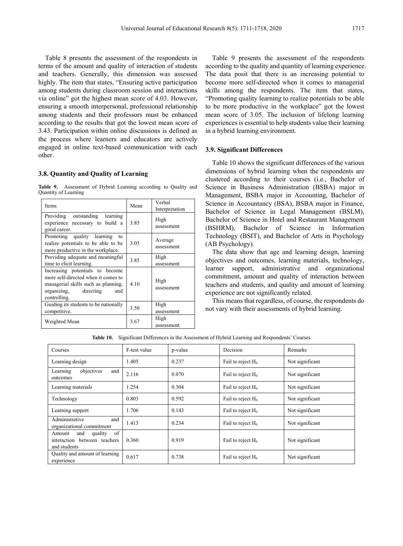Table 8 presents the assessment of the respondents in terms of the amount and quality of interaction of students and teachers. Generally, this dimension was assessed highly. The item that states, "Ensuring active participation" among students during classroom session and interactions via online" got the highest mean score of 4.03. However, ensuring a smooth interpersonal, professional relationship among students and their professors must be enhanced according to the results that got the lowest mean score of 3.43. Participation within online discussions is defined as the process where learners and educators are actively engaged in online text-based communication with each other.

#### **3.8. Quantity and Quality of Learning**

**Table 9.** Assessment of Hybrid Learning according to Quality and Quantity of Learning

| <b>Items</b>                                                                                                                                                  | Mean | Verbal<br>Interpretation |
|---------------------------------------------------------------------------------------------------------------------------------------------------------------|------|--------------------------|
| Providing outstanding learning<br>experience necessary to build a<br>good career.                                                                             | 3.85 | High<br>assessment       |
| Promoting quality learning<br>to<br>realize potentials to be able to be<br>more productive in the workplace.                                                  | 3.05 | Average<br>assessment    |
| Providing adequate and meaningful<br>time to elicit learning.                                                                                                 | 3.85 | High<br>assessment       |
| Increasing potentials to become<br>more self-directed when it comes to<br>managerial skills such as planning,<br>organizing, directing<br>and<br>controlling. | 4.10 | High<br>assessment       |
| Guiding its students to be nationally<br>competitive.                                                                                                         | 3.50 | High<br>assessment       |
| Weighted Mean                                                                                                                                                 | 3.67 | High<br>assessment       |

Table 9 presents the assessment of the respondents according to the quality and quantity of learning experience. The data posit that there is an increasing potential to become more self-directed when it comes to managerial skills among the respondents. The item that states, "Promoting quality learning to realize potentials to be able to be more productive in the workplace" got the lowest mean score of 3.05. The inclusion of lifelong learning experiences is essential to help students value their learning in a hybrid learning environment.

#### **3.9. Significant Differences**

Table 10 shows the significant differences of the various dimensions of hybrid learning when the respondents are clustered according to their courses (i.e., Bachelor of Science in Business Administration (BSBA) major in Management, BSBA major in Accounting, Bachelor of Science in Accountancy (BSA), BSBA major in Finance, Bachelor of Science in Legal Management (BSLM), Bachelor of Science in Hotel and Restaurant Management (BSHRM), Bachelor of Science in Information Technology (BSIT), and Bachelor of Arts in Psychology (AB Psychology).

The data show that age and learning design, learning objectives and outcomes, learning materials, technology, learner support, administrative and organizational commitment, amount and quality of interaction between teachers and students, and quality and amount of learning experience are not significantly related.

This means that regardless, of course, the respondents do not vary with their assessments of hybrid learning.

| Courses                                                                        | F-test value | p-value | Decision             | Remarks         |
|--------------------------------------------------------------------------------|--------------|---------|----------------------|-----------------|
| Learning design                                                                | 1.405        | 0.237   | Fail to reject $H_0$ | Not significant |
| objectives<br>Learning<br>and<br>outcomes                                      | 2.116        | 0.070   | Fail to reject $H_0$ | Not significant |
| Learning materials                                                             | 1.254        | 0.304   | Fail to reject $H_0$ | Not significant |
| Technology                                                                     | 0.803        | 0.592   | Fail to reject $H_0$ | Not significant |
| Learning support                                                               | 1.706        | 0.143   | Fail to reject $H_0$ | Not significant |
| Administrative<br>and<br>organizational commitment                             | 1.413        | 0.234   | Fail to reject $H_0$ | Not significant |
| of<br>quality<br>and<br>Amount<br>interaction between teachers<br>and students | 0.360        | 0.919   | Fail to reject $H_0$ | Not significant |
| Quality and amount of learning<br>experience                                   | 0.617        | 0.738   | Fail to reject $H_0$ | Not significant |

**Table 10.** Significant Differences in the Assessment of Hybrid Learning and Respondents' Courses